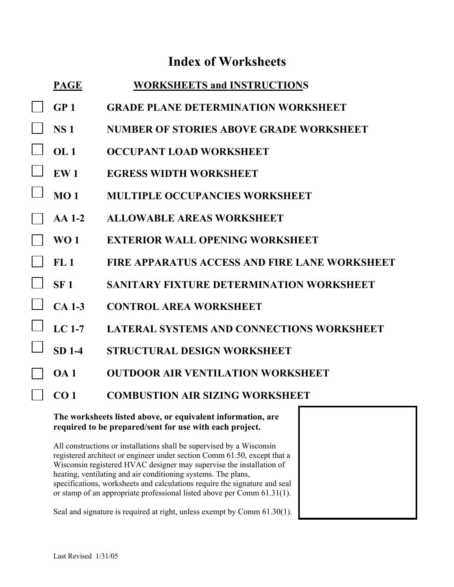# **Index of Worksheets**

| <b>PAGE</b>      | <b>WORKSHEETS and INSTRUCTIONS</b>                   |
|------------------|------------------------------------------------------|
| GP <sub>1</sub>  | <b>GRADE PLANE DETERMINATION WORKSHEET</b>           |
| <b>NS1</b>       | NUMBER OF STORIES ABOVE GRADE WORKSHEET              |
| OL1              | <b>OCCUPANT LOAD WORKSHEET</b>                       |
| EW <sub>1</sub>  | <b>EGRESS WIDTH WORKSHEET</b>                        |
| MO <sub>1</sub>  | <b>MULTIPLE OCCUPANCIES WORKSHEET</b>                |
| $AA$ 1-2         | <b>ALLOWABLE AREAS WORKSHEET</b>                     |
| W <sub>0</sub> 1 | <b>EXTERIOR WALL OPENING WORKSHEET</b>               |
| FL1              | <b>FIRE APPARATUS ACCESS AND FIRE LANE WORKSHEET</b> |
| SF <sub>1</sub>  | <b>SANITARY FIXTURE DETERMINATION WORKSHEET</b>      |
| $CA$ 1-3         | <b>CONTROL AREA WORKSHEET</b>                        |
| $LC1-7$          | <b>LATERAL SYSTEMS AND CONNECTIONS WORKSHEET</b>     |
| <b>SD 1-4</b>    | <b>STRUCTURAL DESIGN WORKSHEET</b>                   |
| O <sub>A</sub> 1 | <b>OUTDOOR AIR VENTILATION WORKSHEET</b>             |
| CO <sub>1</sub>  | <b>COMBUSTION AIR SIZING WORKSHEET</b>               |

### **The worksheets listed above, or equivalent information, are required to be prepared/sent for use with each project.**

All constructions or installations shall be supervised by a Wisconsin registered architect or engineer under section Comm 61.50, except that a Wisconsin registered HVAC designer may supervise the installation of heating, ventilating and air conditioning systems. The plans, specifications, worksheets and calculations require the signature and seal or stamp of an appropriate professional listed above per Comm 61.31(1).

Seal and signature is required at right, unless exempt by Comm 61.30(1).

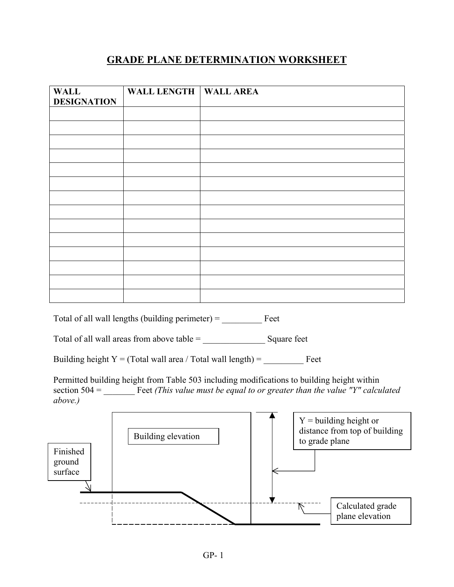# **GRADE PLANE DETERMINATION WORKSHEET**

| <b>WALL</b><br><b>DESIGNATION</b> | <b>WALL LENGTH</b>                                                                                                                                                                       | <b>WALL AREA</b> |                |                                                           |
|-----------------------------------|------------------------------------------------------------------------------------------------------------------------------------------------------------------------------------------|------------------|----------------|-----------------------------------------------------------|
|                                   |                                                                                                                                                                                          |                  |                |                                                           |
|                                   |                                                                                                                                                                                          |                  |                |                                                           |
|                                   |                                                                                                                                                                                          |                  |                |                                                           |
|                                   |                                                                                                                                                                                          |                  |                |                                                           |
|                                   |                                                                                                                                                                                          |                  |                |                                                           |
|                                   |                                                                                                                                                                                          |                  |                |                                                           |
|                                   |                                                                                                                                                                                          |                  |                |                                                           |
|                                   |                                                                                                                                                                                          |                  |                |                                                           |
|                                   |                                                                                                                                                                                          |                  |                |                                                           |
|                                   |                                                                                                                                                                                          |                  |                |                                                           |
|                                   |                                                                                                                                                                                          |                  |                |                                                           |
|                                   |                                                                                                                                                                                          |                  |                |                                                           |
|                                   |                                                                                                                                                                                          |                  |                |                                                           |
|                                   | Total of all wall lengths (building perimeter) = $\qquad \qquad$ Feet                                                                                                                    |                  |                |                                                           |
|                                   |                                                                                                                                                                                          |                  |                |                                                           |
|                                   |                                                                                                                                                                                          |                  |                |                                                           |
| above.)                           | Permitted building height from Table 503 including modifications to building height within<br>section $504 =$ Feet (This value must be equal to or greater than the value "Y" calculated |                  |                |                                                           |
|                                   | Building elevation                                                                                                                                                                       |                  | to grade plane | $Y =$ building height or<br>distance from top of building |
| Finished<br>ground<br>surface     |                                                                                                                                                                                          |                  |                |                                                           |
|                                   |                                                                                                                                                                                          |                  |                |                                                           |
|                                   |                                                                                                                                                                                          |                  |                | Calculated grade<br>plane elevation                       |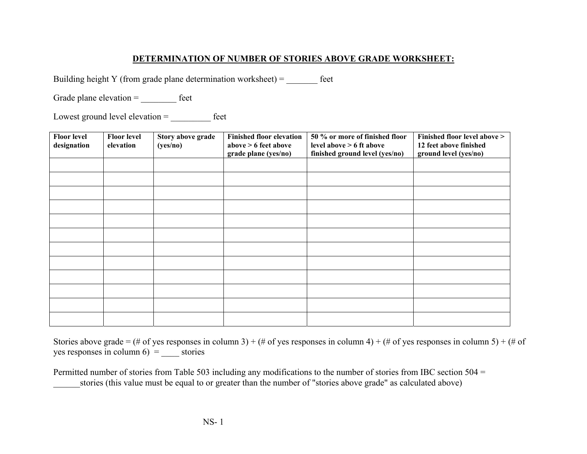### **DETERMINATION OF NUMBER OF STORIES ABOVE GRADE WORKSHEET:**

Building height Y (from grade plane determination worksheet) =  $\qquad$  feet

Grade plane elevation = \_\_\_\_\_\_\_\_\_\_\_ feet

Lowest ground level elevation = \_\_\_\_\_\_\_\_\_ feet

| <b>Floor level</b><br>designation | <b>Floor level</b><br>elevation | Story above grade<br>(yes/no) | <b>Finished floor elevation</b><br>above $> 6$ feet above<br>grade plane (yes/no) | 50 % or more of finished floor<br>level above $> 6$ ft above<br>finished ground level (yes/no) | Finished floor level above ><br>12 feet above finished<br>ground level (yes/no) |
|-----------------------------------|---------------------------------|-------------------------------|-----------------------------------------------------------------------------------|------------------------------------------------------------------------------------------------|---------------------------------------------------------------------------------|
|                                   |                                 |                               |                                                                                   |                                                                                                |                                                                                 |
|                                   |                                 |                               |                                                                                   |                                                                                                |                                                                                 |
|                                   |                                 |                               |                                                                                   |                                                                                                |                                                                                 |
|                                   |                                 |                               |                                                                                   |                                                                                                |                                                                                 |
|                                   |                                 |                               |                                                                                   |                                                                                                |                                                                                 |
|                                   |                                 |                               |                                                                                   |                                                                                                |                                                                                 |
|                                   |                                 |                               |                                                                                   |                                                                                                |                                                                                 |
|                                   |                                 |                               |                                                                                   |                                                                                                |                                                                                 |
|                                   |                                 |                               |                                                                                   |                                                                                                |                                                                                 |
|                                   |                                 |                               |                                                                                   |                                                                                                |                                                                                 |
|                                   |                                 |                               |                                                                                   |                                                                                                |                                                                                 |
|                                   |                                 |                               |                                                                                   |                                                                                                |                                                                                 |

Stories above grade = (# of yes responses in column 3) + (# of yes responses in column 4) + (# of yes responses in column 5) + (# of yes responses in column  $6$ ) = \_\_\_\_\_ stories

Permitted number of stories from Table 503 including any modifications to the number of stories from IBC section 504 = stories (this value must be equal to or greater than the number of "stories above grade" as calculated above)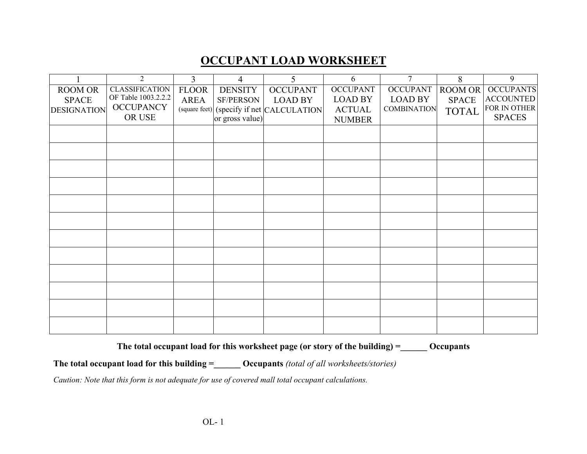# **OCCUPANT LOAD WORKSHEET**

|                    | 2                     | $\overline{3}$ | 4                | 5                           | 6               | $\overline{7}$     | 8            | 9                |
|--------------------|-----------------------|----------------|------------------|-----------------------------|-----------------|--------------------|--------------|------------------|
| <b>ROOM OR</b>     | <b>CLASSIFICATION</b> | <b>FLOOR</b>   | <b>DENSITY</b>   | <b>OCCUPANT</b>             | <b>OCCUPANT</b> | <b>OCCUPANT</b>    | ROOM OR      | <b>OCCUPANTS</b> |
| <b>SPACE</b>       | OF Table 1003.2.2.2   | <b>AREA</b>    | <b>SF/PERSON</b> | <b>LOAD BY</b>              | <b>LOAD BY</b>  | <b>LOAD BY</b>     | <b>SPACE</b> | <b>ACCOUNTED</b> |
| <b>DESIGNATION</b> | <b>OCCUPANCY</b>      | (square feet)  |                  | (specify if net CALCULATION | <b>ACTUAL</b>   | <b>COMBINATION</b> | <b>TOTAL</b> | FOR IN OTHER     |
|                    | OR USE                |                | or gross value)  |                             | <b>NUMBER</b>   |                    |              | <b>SPACES</b>    |
|                    |                       |                |                  |                             |                 |                    |              |                  |
|                    |                       |                |                  |                             |                 |                    |              |                  |
|                    |                       |                |                  |                             |                 |                    |              |                  |
|                    |                       |                |                  |                             |                 |                    |              |                  |
|                    |                       |                |                  |                             |                 |                    |              |                  |
|                    |                       |                |                  |                             |                 |                    |              |                  |
|                    |                       |                |                  |                             |                 |                    |              |                  |
|                    |                       |                |                  |                             |                 |                    |              |                  |
|                    |                       |                |                  |                             |                 |                    |              |                  |
|                    |                       |                |                  |                             |                 |                    |              |                  |
|                    |                       |                |                  |                             |                 |                    |              |                  |
|                    |                       |                |                  |                             |                 |                    |              |                  |
|                    |                       |                |                  |                             |                 |                    |              |                  |
|                    |                       |                |                  |                             |                 |                    |              |                  |
|                    |                       |                |                  |                             |                 |                    |              |                  |

The total occupant load for this worksheet page (or story of the building) = 0ccupants

**The total occupant load for this building =\_\_\_\_\_\_ Occupants** *(total of all worksheets/stories)*

*Caution: Note that this form is not adequate for use of covered mall total occupant calculations.*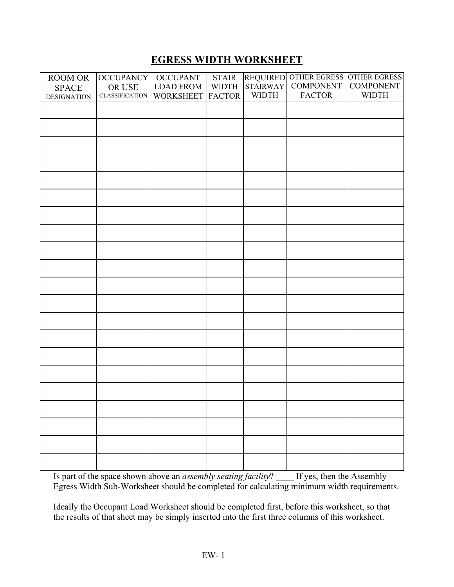## **EGRESS WIDTH WORKSHEET**

| ROOM OR            | <b>OCCUPANCY</b>      | <b>OCCUPANT</b>  | <b>STAIR</b>  |              | REQUIRED OTHER EGRESS OTHER EGRESS<br>STAIRWAY COMPONENT COMPONENT |              |
|--------------------|-----------------------|------------------|---------------|--------------|--------------------------------------------------------------------|--------------|
| <b>SPACE</b>       | OR USE                | <b>LOAD FROM</b> | <b>WIDTH</b>  |              |                                                                    |              |
| <b>DESIGNATION</b> | <b>CLASSIFICATION</b> | <b>WORKSHEET</b> | <b>FACTOR</b> | <b>WIDTH</b> | <b>FACTOR</b>                                                      | <b>WIDTH</b> |
|                    |                       |                  |               |              |                                                                    |              |
|                    |                       |                  |               |              |                                                                    |              |
|                    |                       |                  |               |              |                                                                    |              |
|                    |                       |                  |               |              |                                                                    |              |
|                    |                       |                  |               |              |                                                                    |              |
|                    |                       |                  |               |              |                                                                    |              |
|                    |                       |                  |               |              |                                                                    |              |
|                    |                       |                  |               |              |                                                                    |              |
|                    |                       |                  |               |              |                                                                    |              |
|                    |                       |                  |               |              |                                                                    |              |
|                    |                       |                  |               |              |                                                                    |              |
|                    |                       |                  |               |              |                                                                    |              |
|                    |                       |                  |               |              |                                                                    |              |
|                    |                       |                  |               |              |                                                                    |              |
|                    |                       |                  |               |              |                                                                    |              |
|                    |                       |                  |               |              |                                                                    |              |
|                    |                       |                  |               |              |                                                                    |              |
|                    |                       |                  |               |              |                                                                    |              |
|                    |                       |                  |               |              |                                                                    |              |
|                    |                       |                  |               |              |                                                                    |              |
|                    |                       |                  |               |              |                                                                    |              |

Is part of the space shown above an *assembly seating facility*? \_\_\_\_ If yes, then the Assembly Egress Width Sub-Worksheet should be completed for calculating minimum width requirements.

Ideally the Occupant Load Worksheet should be completed first, before this worksheet, so that the results of that sheet may be simply inserted into the first three columns of this worksheet.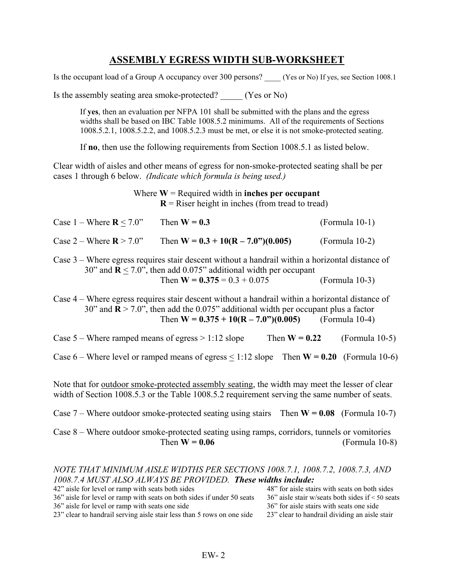## **ASSEMBLY EGRESS WIDTH SUB-WORKSHEET**

Is the occupant load of a Group A occupancy over 300 persons? (Yes or No) If yes, see Section 1008.1

Is the assembly seating area smoke-protected? (Yes or No)

If **yes**, then an evaluation per NFPA 101 shall be submitted with the plans and the egress widths shall be based on IBC Table 1008.5.2 minimums. All of the requirements of Sections 1008.5.2.1, 1008.5.2.2, and 1008.5.2.3 must be met, or else it is not smoke-protected seating.

If **no**, then use the following requirements from Section 1008.5.1 as listed below.

Clear width of aisles and other means of egress for non-smoke-protected seating shall be per cases 1 through 6 below. *(Indicate which formula is being used.)*

> Where  $W =$  Required width in **inches per occupant**  $R$  = Riser height in inches (from tread to tread)

| Case $1 -$ Where $\mathbf{R}$ < 7.0" | Then $W = 0.3$                        | (Formula 10-1)   |
|--------------------------------------|---------------------------------------|------------------|
| Case $2$ – Where $\mathbf{R}$ > 7.0" | Then $W = 0.3 + 10(R - 7.0") (0.005)$ | $(Formula 10-2)$ |

Case 3 – Where egress requires stair descent without a handrail within a horizontal distance of 30" and  $\mathbf{R} \le 7.0$ ", then add 0.075" additional width per occupant Then  $W = 0.375 = 0.3 + 0.075$  (Formula 10-3)

Case 4 – Where egress requires stair descent without a handrail within a horizontal distance of 30" and **R** > 7.0", then add the 0.075" additional width per occupant plus a factor Then  $W = 0.375 + 10(R - 7.0)$ <sup>(0.005)</sup> (Formula 10-4)

Case 5 – Where ramped means of egress  $> 1:12$  slope Then  $W = 0.22$  (Formula 10-5)

Case  $6$  – Where level or ramped means of egress  $\leq 1:12$  slope Then **W** = 0.20 (Formula 10-6)

Note that for outdoor smoke-protected assembly seating, the width may meet the lesser of clear width of Section 1008.5.3 or the Table 1008.5.2 requirement serving the same number of seats.

Case 7 – Where outdoor smoke-protected seating using stairs Then **W = 0.08** (Formula 10-7)

Case 8 – Where outdoor smoke-protected seating using ramps, corridors, tunnels or vomitories Then  $W = 0.06$  (Formula 10-8)

### *NOTE THAT MINIMUM AISLE WIDTHS PER SECTIONS 1008.7.1, 1008.7.2, 1008.7.3, AND 1008.7.4 MUST ALSO ALWAYS BE PROVIDED. These widths include:*

| 42" aisle for level or ramp with seats both sides                      | 48" for aisle stairs with seats on both sides       |
|------------------------------------------------------------------------|-----------------------------------------------------|
| 36" aisle for level or ramp with seats on both sides if under 50 seats | $36$ " aisle stair w/seats both sides if < 50 seats |
| 36" aisle for level or ramp with seats one side                        | 36" for aisle stairs with seats one side            |
| 23" clear to handrail serving aisle stair less than 5 rows on one side | 23" clear to handrail dividing an aisle stair       |
|                                                                        |                                                     |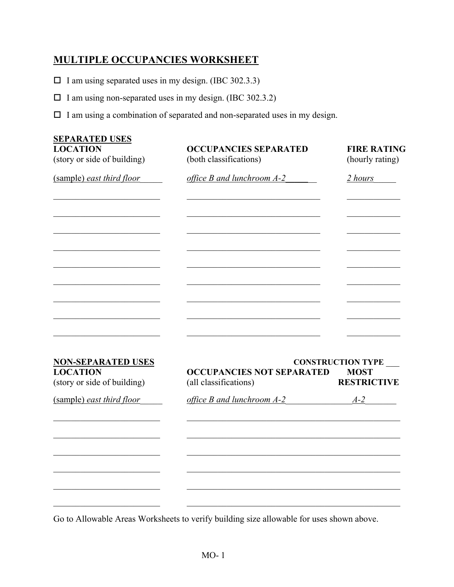## **MULTIPLE OCCUPANCIES WORKSHEET**

 $\Box$  I am using separated uses in my design. (IBC 302.3.3)

 $\Box$  I am using non-separated uses in my design. (IBC 302.3.2)

 $\Box$  I am using a combination of separated and non-separated uses in my design.

| <b>SEPARATED USES</b><br><b>LOCATION</b><br>(story or side of building) | <b>OCCUPANCIES SEPARATED</b><br>(both classifications) | <b>FIRE RATING</b><br>(hourly rating)   |
|-------------------------------------------------------------------------|--------------------------------------------------------|-----------------------------------------|
| (sample) east third floor                                               | office B and lunchroom A-2                             | 2 hours                                 |
|                                                                         |                                                        |                                         |
|                                                                         |                                                        |                                         |
|                                                                         |                                                        |                                         |
|                                                                         |                                                        |                                         |
|                                                                         |                                                        |                                         |
|                                                                         |                                                        |                                         |
|                                                                         |                                                        |                                         |
| <b>NON-SEPARATED USES</b><br><b>LOCATION</b>                            | <b>OCCUPANCIES NOT SEPARATED</b>                       | <b>CONSTRUCTION TYPE</b><br><b>MOST</b> |
| (story or side of building)                                             | (all classifications)                                  | <b>RESTRICTIVE</b>                      |
| (sample) east third floor                                               | office B and lunchroom A-2                             | $A-2$                                   |

Go to Allowable Areas Worksheets to verify building size allowable for uses shown above.

 $\mathcal{L}_\text{max} = \frac{1}{2} \sum_{i=1}^n \mathcal{L}_\text{max}(\mathbf{z}_i - \mathbf{z}_i)$ 

 $\_$  , and the set of the set of the set of the set of the set of the set of the set of the set of the set of the set of the set of the set of the set of the set of the set of the set of the set of the set of the set of th

 $\_$  , and the set of the set of the set of the set of the set of the set of the set of the set of the set of the set of the set of the set of the set of the set of the set of the set of the set of the set of the set of th

 $\mathcal{L}_\text{max} = \frac{1}{2} \sum_{i=1}^n \mathcal{L}_\text{max}(\mathbf{z}_i - \mathbf{z}_i)$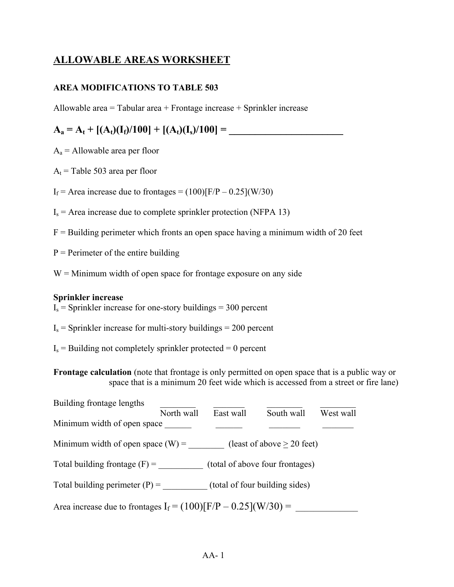## **ALLOWABLE AREAS WORKSHEET**

## **AREA MODIFICATIONS TO TABLE 503**

Allowable area = Tabular area + Frontage increase + Sprinkler increase

## $A_a = A_t + [(A_t)(I_f)/100] + [(A_t)(I_s)/100] =$

 $A_a$  = Allowable area per floor

 $A_t$  = Table 503 area per floor

 $I_f$  = Area increase due to frontages = (100)[F/P – 0.25](W/30)

- $I_s$  = Area increase due to complete sprinkler protection (NFPA 13)
- $F =$  Building perimeter which fronts an open space having a minimum width of 20 feet
- $P =$  Perimeter of the entire building
- $W =$ Minimum width of open space for frontage exposure on any side

### **Sprinkler increase**

 $I_s$  = Sprinkler increase for one-story buildings = 300 percent

- $I_s$  = Sprinkler increase for multi-story buildings = 200 percent
- $I_s$  = Building not completely sprinkler protected = 0 percent

**Frontage calculation** (note that frontage is only permitted on open space that is a public way or space that is a minimum 20 feet wide which is accessed from a street or fire lane)

| Building frontage lengths                                          |            |                                 |                              |           |  |  |  |
|--------------------------------------------------------------------|------------|---------------------------------|------------------------------|-----------|--|--|--|
|                                                                    | North wall | East wall                       | South wall                   | West wall |  |  |  |
| Minimum width of open space                                        |            |                                 |                              |           |  |  |  |
| Minimum width of open space $(W)$ =                                |            |                                 | (least of above $> 20$ feet) |           |  |  |  |
| Total building frontage $(F)$ =                                    |            | (total of above four frontages) |                              |           |  |  |  |
| Total building perimeter $(P)$ =<br>(total of four building sides) |            |                                 |                              |           |  |  |  |
| Area increase due to frontages $I_f = (100) [F/P - 0.25](W/30) =$  |            |                                 |                              |           |  |  |  |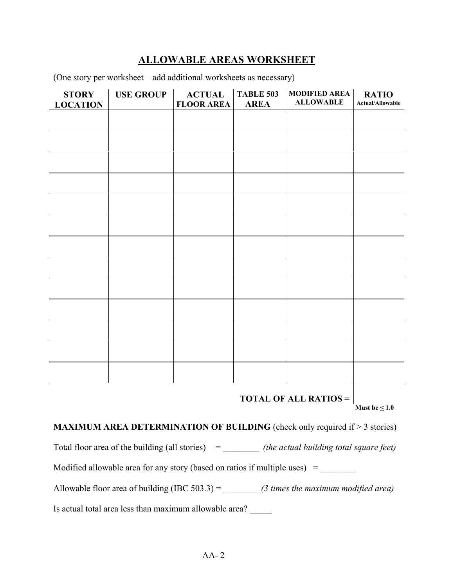## **ALLOWABLE AREAS WORKSHEET**

(One story per worksheet – add additional worksheets as necessary)

| <b>STORY</b><br><b>LOCATION</b> | <b>USE GROUP</b> | <b>ACTUAL</b><br><b>FLOOR AREA</b> | <b>TABLE 503</b><br><b>AREA</b> | <b>MODIFIED AREA</b><br><b>ALLOWABLE</b> | <b>RATIO</b><br><b>Actual/Allowable</b> |
|---------------------------------|------------------|------------------------------------|---------------------------------|------------------------------------------|-----------------------------------------|
|                                 |                  |                                    |                                 |                                          |                                         |
|                                 |                  |                                    |                                 |                                          |                                         |
|                                 |                  |                                    |                                 |                                          |                                         |
|                                 |                  |                                    |                                 |                                          |                                         |
|                                 |                  |                                    |                                 |                                          |                                         |
|                                 |                  |                                    |                                 |                                          |                                         |
|                                 |                  |                                    |                                 |                                          |                                         |
|                                 |                  |                                    |                                 |                                          |                                         |
|                                 |                  |                                    |                                 |                                          |                                         |
|                                 |                  |                                    |                                 |                                          |                                         |
|                                 |                  |                                    |                                 |                                          |                                         |
|                                 |                  |                                    |                                 |                                          |                                         |
|                                 |                  |                                    |                                 |                                          |                                         |
|                                 |                  |                                    |                                 |                                          |                                         |

**TOTAL OF ALL RATIOS =**

**Must be < 1.0**

**MAXIMUM AREA DETERMINATION OF BUILDING** (check only required if > 3 stories)

Total floor area of the building (all stories) = \_\_\_\_\_\_\_\_\_ *(the actual building total square feet)* 

Modified allowable area for any story (based on ratios if multiple uses) = \_\_\_\_\_\_\_\_

Allowable floor area of building (IBC 503.3) = \_\_\_\_\_\_\_\_ *(3 times the maximum modified area)*

Is actual total area less than maximum allowable area? \_\_\_\_\_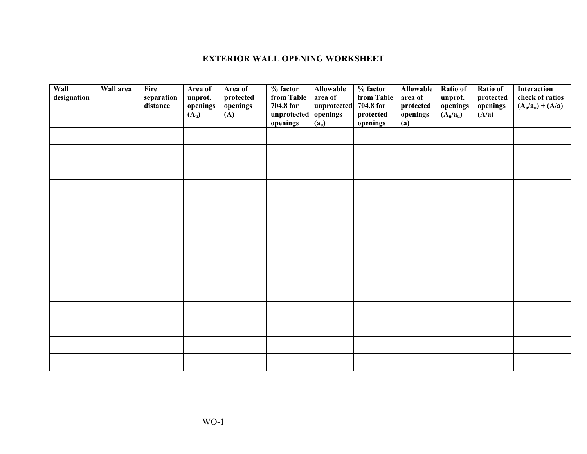#### **EXTERIOR WALL OPENING WORKSHEET**

| Wall<br>designation | Wall area | Fire<br>separation<br>distance | Area of<br>unprot.<br>openings<br>$(A_u)$ | Area of<br>protected<br>openings<br>(A) | $\overline{\frac{0}{6}}$ factor<br>from Table<br>704.8 for<br>unprotected<br>openings | <b>Allowable</b><br>area of<br>unprotected<br>openings<br>(a <sub>u</sub> ) | $%$ factor<br>from Table<br>704.8 for<br>protected<br>openings | Allowable<br>area of<br>protected<br>openings<br>(a) | Ratio of<br>unprot.<br>openings<br>$(A_u/a_u)$ | Ratio of<br>$\bold{protected}$<br>openings<br>(A/a) | Interaction<br>check of ratios<br>$(A_u/a_u) + (A/a)$ |
|---------------------|-----------|--------------------------------|-------------------------------------------|-----------------------------------------|---------------------------------------------------------------------------------------|-----------------------------------------------------------------------------|----------------------------------------------------------------|------------------------------------------------------|------------------------------------------------|-----------------------------------------------------|-------------------------------------------------------|
|                     |           |                                |                                           |                                         |                                                                                       |                                                                             |                                                                |                                                      |                                                |                                                     |                                                       |
|                     |           |                                |                                           |                                         |                                                                                       |                                                                             |                                                                |                                                      |                                                |                                                     |                                                       |
|                     |           |                                |                                           |                                         |                                                                                       |                                                                             |                                                                |                                                      |                                                |                                                     |                                                       |
|                     |           |                                |                                           |                                         |                                                                                       |                                                                             |                                                                |                                                      |                                                |                                                     |                                                       |
|                     |           |                                |                                           |                                         |                                                                                       |                                                                             |                                                                |                                                      |                                                |                                                     |                                                       |
|                     |           |                                |                                           |                                         |                                                                                       |                                                                             |                                                                |                                                      |                                                |                                                     |                                                       |
|                     |           |                                |                                           |                                         |                                                                                       |                                                                             |                                                                |                                                      |                                                |                                                     |                                                       |
|                     |           |                                |                                           |                                         |                                                                                       |                                                                             |                                                                |                                                      |                                                |                                                     |                                                       |
|                     |           |                                |                                           |                                         |                                                                                       |                                                                             |                                                                |                                                      |                                                |                                                     |                                                       |
|                     |           |                                |                                           |                                         |                                                                                       |                                                                             |                                                                |                                                      |                                                |                                                     |                                                       |
|                     |           |                                |                                           |                                         |                                                                                       |                                                                             |                                                                |                                                      |                                                |                                                     |                                                       |
|                     |           |                                |                                           |                                         |                                                                                       |                                                                             |                                                                |                                                      |                                                |                                                     |                                                       |
|                     |           |                                |                                           |                                         |                                                                                       |                                                                             |                                                                |                                                      |                                                |                                                     |                                                       |
|                     |           |                                |                                           |                                         |                                                                                       |                                                                             |                                                                |                                                      |                                                |                                                     |                                                       |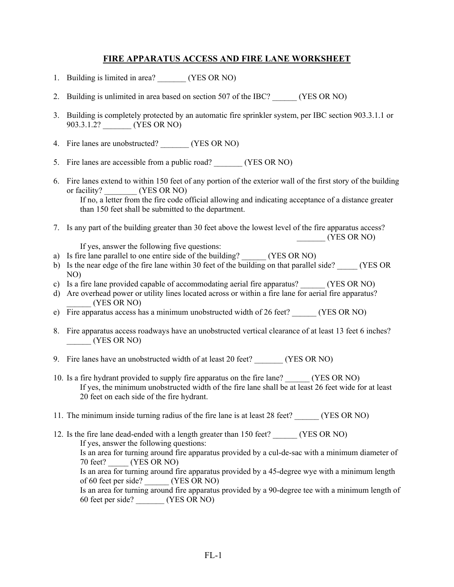### **FIRE APPARATUS ACCESS AND FIRE LANE WORKSHEET**

- 1. Building is limited in area? (YES OR NO)
- 2. Building is unlimited in area based on section 507 of the IBC? (YES OR NO)
- 3. Building is completely protected by an automatic fire sprinkler system, per IBC section 903.3.1.1 or 903.3.1.2? (YES OR NO)
- 4. Fire lanes are unobstructed? (YES OR NO)
- 5. Fire lanes are accessible from a public road? (YES OR NO)
- 6. Fire lanes extend to within 150 feet of any portion of the exterior wall of the first story of the building or facility? (YES OR NO) If no, a letter from the fire code official allowing and indicating acceptance of a distance greater than 150 feet shall be submitted to the department.
- 7. Is any part of the building greater than 30 feet above the lowest level of the fire apparatus access? \_\_\_\_\_\_\_ (YES OR NO)

If yes, answer the following five questions:

- a) Is fire lane parallel to one entire side of the building? (YES OR NO)
- b) Is the near edge of the fire lane within 30 feet of the building on that parallel side? (YES OR NO)
- c) Is a fire lane provided capable of accommodating aerial fire apparatus? (YES OR NO)
- d) Are overhead power or utility lines located across or within a fire lane for aerial fire apparatus? \_\_\_\_\_\_ (YES OR NO)
- e) Fire apparatus access has a minimum unobstructed width of 26 feet? \_\_\_\_\_\_ (YES OR NO)
- 8. Fire apparatus access roadways have an unobstructed vertical clearance of at least 13 feet 6 inches? \_\_\_\_\_\_ (YES OR NO)
- 9. Fire lanes have an unobstructed width of at least 20 feet? (YES OR NO)
- 10. Is a fire hydrant provided to supply fire apparatus on the fire lane? (YES OR NO) If yes, the minimum unobstructed width of the fire lane shall be at least 26 feet wide for at least 20 feet on each side of the fire hydrant.
- 11. The minimum inside turning radius of the fire lane is at least 28 feet? (YES OR NO)
- 12. Is the fire lane dead-ended with a length greater than 150 feet? (YES OR NO) If yes, answer the following questions: Is an area for turning around fire apparatus provided by a cul-de-sac with a minimum diameter of 70 feet? (YES OR NO) Is an area for turning around fire apparatus provided by a 45-degree wye with a minimum length of 60 feet per side? (YES OR NO) Is an area for turning around fire apparatus provided by a 90-degree tee with a minimum length of 60 feet per side? \_\_\_\_\_\_\_ (YES OR NO)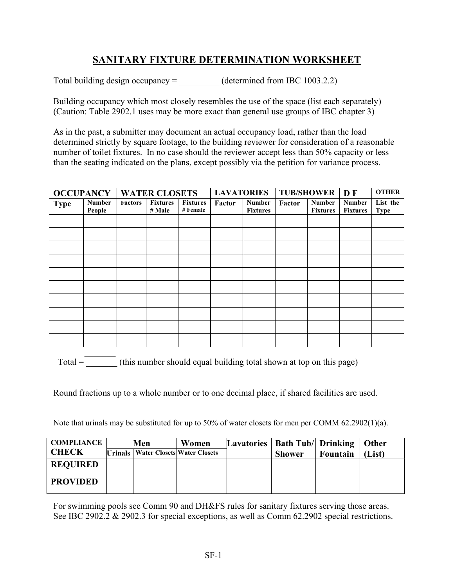## **SANITARY FIXTURE DETERMINATION WORKSHEET**

Total building design occupancy  $=$  (determined from IBC 1003.2.2)

Building occupancy which most closely resembles the use of the space (list each separately) (Caution: Table 2902.1 uses may be more exact than general use groups of IBC chapter 3)

As in the past, a submitter may document an actual occupancy load, rather than the load determined strictly by square footage, to the building reviewer for consideration of a reasonable number of toilet fixtures. In no case should the reviewer accept less than 50% capacity or less than the seating indicated on the plans, except possibly via the petition for variance process.

|             |                         | <b>OCCUPANCY   WATER CLOSETS</b> |                           |                             |        |                                  | LAVATORIES   TUB/SHOWER   D F |                                  |                                  | <b>OTHER</b>            |
|-------------|-------------------------|----------------------------------|---------------------------|-----------------------------|--------|----------------------------------|-------------------------------|----------------------------------|----------------------------------|-------------------------|
| <b>Type</b> | <b>Number</b><br>People | <b>Factors</b>                   | <b>Fixtures</b><br># Male | <b>Fixtures</b><br># Female | Factor | <b>Number</b><br><b>Fixtures</b> | Factor                        | <b>Number</b><br><b>Fixtures</b> | <b>Number</b><br><b>Fixtures</b> | List the<br><b>Type</b> |
|             |                         |                                  |                           |                             |        |                                  |                               |                                  |                                  |                         |
|             |                         |                                  |                           |                             |        |                                  |                               |                                  |                                  |                         |
|             |                         |                                  |                           |                             |        |                                  |                               |                                  |                                  |                         |
|             |                         |                                  |                           |                             |        |                                  |                               |                                  |                                  |                         |
|             |                         |                                  |                           |                             |        |                                  |                               |                                  |                                  |                         |
|             |                         |                                  |                           |                             |        |                                  |                               |                                  |                                  |                         |
|             |                         |                                  |                           |                             |        |                                  |                               |                                  |                                  |                         |
|             |                         |                                  |                           |                             |        |                                  |                               |                                  |                                  |                         |
|             |                         |                                  |                           |                             |        |                                  |                               |                                  |                                  |                         |
|             |                         |                                  |                           |                             |        |                                  |                               |                                  |                                  |                         |

 $\mathcal{L}_\text{max}$ Total  $=$  \_\_\_\_\_\_\_\_\_\_\_ (this number should equal building total shown at top on this page)

Round fractions up to a whole number or to one decimal place, if shared facilities are used.

Note that urinals may be substituted for up to 50% of water closets for men per COMM 62.2902(1)(a).

| <b>COMPLIANCE</b> | Men |                                                | Women | Lavatories   Bath Tub/  Drinking   Other |               |          |        |
|-------------------|-----|------------------------------------------------|-------|------------------------------------------|---------------|----------|--------|
| <b>CHECK</b>      |     | <b>Urinals   Water Closets   Water Closets</b> |       |                                          | <b>Shower</b> | Fountain | (List) |
| <b>REQUIRED</b>   |     |                                                |       |                                          |               |          |        |
|                   |     |                                                |       |                                          |               |          |        |
| <b>PROVIDED</b>   |     |                                                |       |                                          |               |          |        |

For swimming pools see Comm 90 and DH&FS rules for sanitary fixtures serving those areas. See IBC 2902.2 & 2902.3 for special exceptions, as well as Comm 62.2902 special restrictions.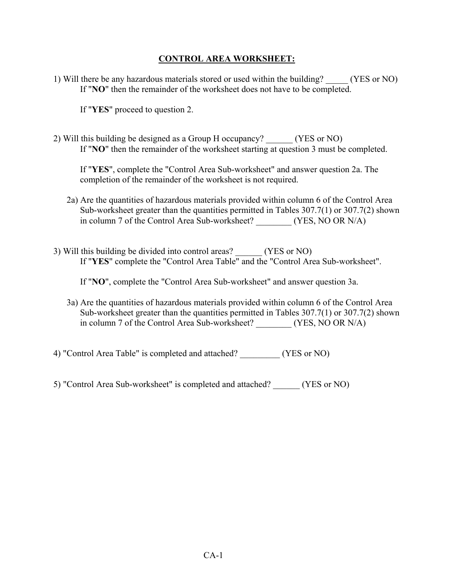## **CONTROL AREA WORKSHEET:**

1) Will there be any hazardous materials stored or used within the building? (YES or NO) If "**NO**" then the remainder of the worksheet does not have to be completed.

If "**YES**" proceed to question 2.

2) Will this building be designed as a Group H occupancy? \_\_\_\_\_\_ (YES or NO) If "**NO**" then the remainder of the worksheet starting at question 3 must be completed.

If "**YES**", complete the "Control Area Sub-worksheet" and answer question 2a. The completion of the remainder of the worksheet is not required.

- 2a) Are the quantities of hazardous materials provided within column 6 of the Control Area Sub-worksheet greater than the quantities permitted in Tables 307.7(1) or 307.7(2) shown in column 7 of the Control Area Sub-worksheet? (YES, NO OR N/A)
- 3) Will this building be divided into control areas? \_\_\_\_\_\_ (YES or NO) If "**YES**" complete the "Control Area Table" and the "Control Area Sub-worksheet".

If "**NO**", complete the "Control Area Sub-worksheet" and answer question 3a.

- 3a) Are the quantities of hazardous materials provided within column 6 of the Control Area Sub-worksheet greater than the quantities permitted in Tables 307.7(1) or 307.7(2) shown in column 7 of the Control Area Sub-worksheet? \_\_\_\_\_\_\_\_ (YES, NO OR N/A)
- 4) "Control Area Table" is completed and attached? \_\_\_\_\_\_\_\_\_ (YES or NO)
- 5) "Control Area Sub-worksheet" is completed and attached? \_\_\_\_\_\_ (YES or NO)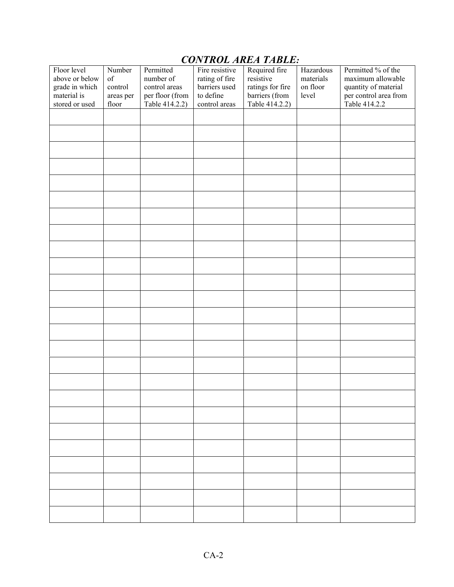# Floor level above or below grade in which material is stored or used Number of control areas per floor Permitted number of control areas per floor (from Table 414.2.2) Fire resistive rating of fire barriers used to define control areas Required fire resistive ratings for fire barriers (from Table 414.2.2) Hazardous materials on floor level Permitted % of the maximum allowable quantity of material per control area from Table 414.2.2

## *CONTROL AREA TABLE:*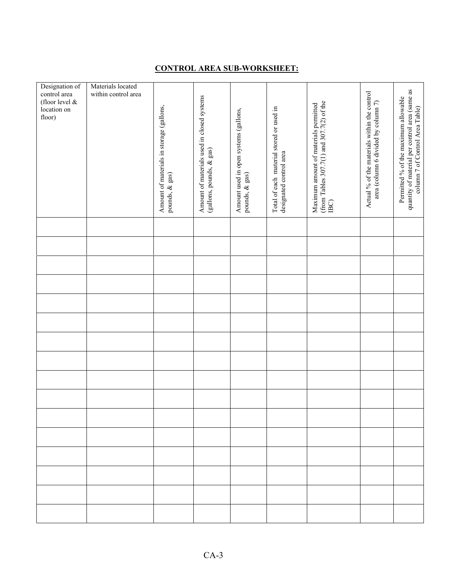### **CONTROL AREA SUB-WORKSHEET:**

| Designation of | Materials located   |                                          |                                            |                                       |                                          |                                                                                    |                                              |                                                |
|----------------|---------------------|------------------------------------------|--------------------------------------------|---------------------------------------|------------------------------------------|------------------------------------------------------------------------------------|----------------------------------------------|------------------------------------------------|
| control area   | within control area |                                          |                                            |                                       |                                          |                                                                                    |                                              | quantity of material per control area (same as |
| (floor level & |                     |                                          | Amount of materials used in closed systems |                                       |                                          |                                                                                    | Actual % of the materials within the control | Permitted % of the maximum allowable           |
| location on    |                     |                                          |                                            |                                       |                                          |                                                                                    |                                              |                                                |
| floor)         |                     | Amount of materials in storage (gallons, |                                            | Amount used in open systems (gallons, | Total of each material stored or used in | (from Tables 307.7(1) and 307.7(2) of the<br>Maximum amount of materials permitted | area (column 6 divided by column 7)          | column 7 of Control Area Table)                |
|                |                     |                                          |                                            |                                       |                                          |                                                                                    |                                              |                                                |
|                |                     |                                          |                                            |                                       |                                          |                                                                                    |                                              |                                                |
|                |                     |                                          |                                            |                                       |                                          |                                                                                    |                                              |                                                |
|                |                     |                                          |                                            |                                       |                                          |                                                                                    |                                              |                                                |
|                |                     |                                          |                                            |                                       |                                          |                                                                                    |                                              |                                                |
|                |                     |                                          |                                            |                                       |                                          |                                                                                    |                                              |                                                |
|                |                     |                                          |                                            |                                       |                                          |                                                                                    |                                              |                                                |
|                |                     | pounds, & gas)                           | (gallons, pounds, & gas)                   | pounds, & gas)                        | designated control area                  |                                                                                    |                                              |                                                |
|                |                     |                                          |                                            |                                       |                                          |                                                                                    |                                              |                                                |
|                |                     |                                          |                                            |                                       |                                          | $\rm_{\rm IBC}$                                                                    |                                              |                                                |
|                |                     |                                          |                                            |                                       |                                          |                                                                                    |                                              |                                                |
|                |                     |                                          |                                            |                                       |                                          |                                                                                    |                                              |                                                |
|                |                     |                                          |                                            |                                       |                                          |                                                                                    |                                              |                                                |
|                |                     |                                          |                                            |                                       |                                          |                                                                                    |                                              |                                                |
|                |                     |                                          |                                            |                                       |                                          |                                                                                    |                                              |                                                |
|                |                     |                                          |                                            |                                       |                                          |                                                                                    |                                              |                                                |
|                |                     |                                          |                                            |                                       |                                          |                                                                                    |                                              |                                                |
|                |                     |                                          |                                            |                                       |                                          |                                                                                    |                                              |                                                |
|                |                     |                                          |                                            |                                       |                                          |                                                                                    |                                              |                                                |
|                |                     |                                          |                                            |                                       |                                          |                                                                                    |                                              |                                                |
|                |                     |                                          |                                            |                                       |                                          |                                                                                    |                                              |                                                |
|                |                     |                                          |                                            |                                       |                                          |                                                                                    |                                              |                                                |
|                |                     |                                          |                                            |                                       |                                          |                                                                                    |                                              |                                                |
|                |                     |                                          |                                            |                                       |                                          |                                                                                    |                                              |                                                |
|                |                     |                                          |                                            |                                       |                                          |                                                                                    |                                              |                                                |
|                |                     |                                          |                                            |                                       |                                          |                                                                                    |                                              |                                                |
|                |                     |                                          |                                            |                                       |                                          |                                                                                    |                                              |                                                |
|                |                     |                                          |                                            |                                       |                                          |                                                                                    |                                              |                                                |
|                |                     |                                          |                                            |                                       |                                          |                                                                                    |                                              |                                                |
|                |                     |                                          |                                            |                                       |                                          |                                                                                    |                                              |                                                |
|                |                     |                                          |                                            |                                       |                                          |                                                                                    |                                              |                                                |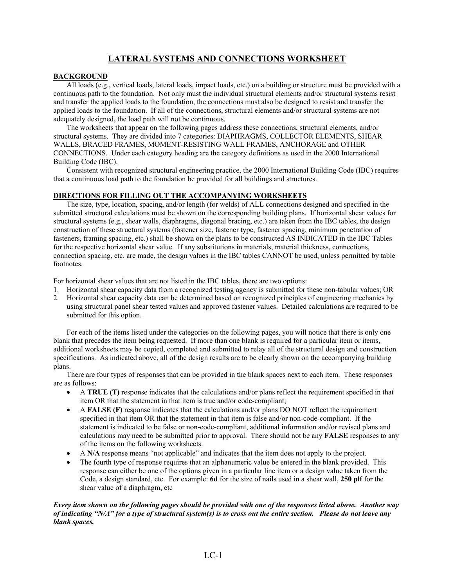### **LATERAL SYSTEMS AND CONNECTIONS WORKSHEET**

#### **BACKGROUND**

All loads (e.g., vertical loads, lateral loads, impact loads, etc.) on a building or structure must be provided with a continuous path to the foundation. Not only must the individual structural elements and/or structural systems resist and transfer the applied loads to the foundation, the connections must also be designed to resist and transfer the applied loads to the foundation. If all of the connections, structural elements and/or structural systems are not adequately designed, the load path will not be continuous.

The worksheets that appear on the following pages address these connections, structural elements, and/or structural systems. They are divided into 7 categories: DIAPHRAGMS, COLLECTOR ELEMENTS, SHEAR WALLS, BRACED FRAMES, MOMENT-RESISTING WALL FRAMES, ANCHORAGE and OTHER CONNECTIONS. Under each category heading are the category definitions as used in the 2000 International Building Code (IBC).

Consistent with recognized structural engineering practice, the 2000 International Building Code (IBC) requires that a continuous load path to the foundation be provided for all buildings and structures.

#### **DIRECTIONS FOR FILLING OUT THE ACCOMPANYING WORKSHEETS**

The size, type, location, spacing, and/or length (for welds) of ALL connections designed and specified in the submitted structural calculations must be shown on the corresponding building plans. If horizontal shear values for structural systems (e.g., shear walls, diaphragms, diagonal bracing, etc.) are taken from the IBC tables, the design construction of these structural systems (fastener size, fastener type, fastener spacing, minimum penetration of fasteners, framing spacing, etc.) shall be shown on the plans to be constructed AS INDICATED in the IBC Tables for the respective horizontal shear value. If any substitutions in materials, material thickness, connections, connection spacing, etc. are made, the design values in the IBC tables CANNOT be used, unless permitted by table footnotes.

For horizontal shear values that are not listed in the IBC tables, there are two options:

- 1. Horizontal shear capacity data from a recognized testing agency is submitted for these non-tabular values; OR
- 2. Horizontal shear capacity data can be determined based on recognized principles of engineering mechanics by using structural panel shear tested values and approved fastener values. Detailed calculations are required to be submitted for this option.

For each of the items listed under the categories on the following pages, you will notice that there is only one blank that precedes the item being requested. If more than one blank is required for a particular item or items, additional worksheets may be copied, completed and submitted to relay all of the structural design and construction specifications. As indicated above, all of the design results are to be clearly shown on the accompanying building plans.

 There are four types of responses that can be provided in the blank spaces next to each item. These responses are as follows:

- A **TRUE** (**T**) response indicates that the calculations and/or plans reflect the requirement specified in that item OR that the statement in that item is true and/or code-compliant;
- A **FALSE** (F) response indicates that the calculations and/or plans DO NOT reflect the requirement specified in that item OR that the statement in that item is false and/or non-code-compliant. If the statement is indicated to be false or non-code-compliant, additional information and/or revised plans and calculations may need to be submitted prior to approval. There should not be any **FALSE** responses to any of the items on the following worksheets.
- A **N/A** response means "not applicable" and indicates that the item does not apply to the project.
- The fourth type of response requires that an alphanumeric value be entered in the blank provided. This response can either be one of the options given in a particular line item or a design value taken from the Code, a design standard, etc. For example: **6d** for the size of nails used in a shear wall, **250 plf** for the shear value of a diaphragm, etc

#### *Every item shown on the following pages should be provided with one of the responses listed above. Another way of indicating "N/A" for a type of structural system(s) is to cross out the entire section. Please do not leave any blank spaces.*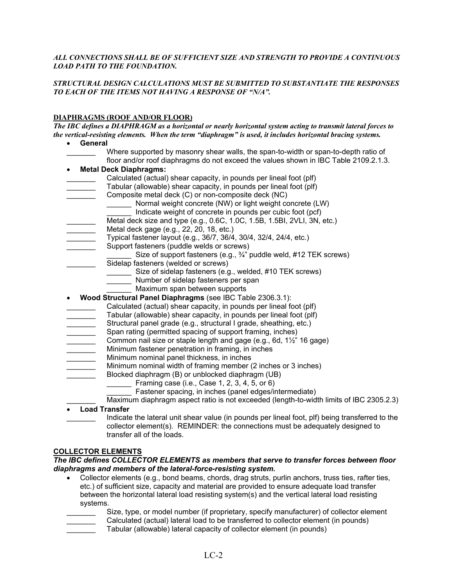#### *ALL CONNECTIONS SHALL BE OF SUFFICIENT SIZE AND STRENGTH TO PROVIDE A CONTINUOUS LOAD PATH TO THE FOUNDATION.*

#### *STRUCTURAL DESIGN CALCULATIONS MUST BE SUBMITTED TO SUBSTANTIATE THE RESPONSES TO EACH OF THE ITEMS NOT HAVING A RESPONSE OF "N/A".*

#### **DIAPHRAGMS (ROOF AND/OR FLOOR)**

*The IBC defines a DIAPHRAGM as a horizontal or nearly horizontal system acting to transmit lateral forces to the vertical-resisting elements. When the term "diaphragm" is used, it includes horizontal bracing systems.*

- **General**
	- Where supported by masonry shear walls, the span-to-width or span-to-depth ratio of floor and/or roof diaphragms do not exceed the values shown in IBC Table 2109.2.1.3.
- **Metal Deck Diaphragms:**
- Calculated (actual) shear capacity, in pounds per lineal foot (plf)
- Tabular (allowable) shear capacity, in pounds per lineal foot (plf)
- Composite metal deck (C) or non-composite deck (NC)
	- Normal weight concrete (NW) or light weight concrete (LW) Indicate weight of concrete in pounds per cubic foot (pcf)
- Metal deck size and type (e.g., 0.6C, 1.0C, 1.5B, 1.5BI, 2VLI, 3N, etc.)
- Metal deck gage (e.g., 22, 20, 18, etc.)
- \_\_\_\_\_\_\_ Typical fastener layout (e.g., 36/7, 36/4, 30/4, 32/4, 24/4, etc.)
- Support fasteners (puddle welds or screws)
	- Size of support fasteners (e.g.,  $\frac{3}{4}$ " puddle weld, #12 TEK screws)
	- Sidelap fasteners (welded or screws)
		- \_\_\_\_\_\_ Size of sidelap fasteners (e.g., welded, #10 TEK screws)
		- **Number of sidelap fasteners per span**
		- Maximum span between supports
- **Wood Structural Panel Diaphragms** (see IBC Table 2306.3.1):
- Calculated (actual) shear capacity, in pounds per lineal foot (plf)
- Tabular (allowable) shear capacity, in pounds per lineal foot (plf)
- Structural panel grade (e.g., structural I grade, sheathing, etc.)
- Span rating (permitted spacing of support framing, inches)
- Common nail size or staple length and gage (e.g., 6d, 1½" 16 gage)
- Minimum fastener penetration in framing, in inches
- Minimum nominal panel thickness, in inches
- Minimum nominal width of framing member (2 inches or 3 inches)
- Blocked diaphragm (B) or unblocked diaphragm (UB)
	- Framing case (i.e., Case 1, 2, 3, 4, 5, or 6)
		- Fastener spacing, in inches (panel edges/intermediate)
	- Maximum diaphragm aspect ratio is not exceeded (length-to-width limits of IBC 2305.2.3)

#### • **Load Transfer**

Indicate the lateral unit shear value (in pounds per lineal foot, plf) being transferred to the collector element(s). REMINDER: the connections must be adequately designed to transfer all of the loads.

#### **COLLECTOR ELEMENTS**

#### *The IBC defines COLLECTOR ELEMENTS as members that serve to transfer forces between floor diaphragms and members of the lateral-force-resisting system.*

- Collector elements (e.g., bond beams, chords, drag struts, purlin anchors, truss ties, rafter ties, etc.) of sufficient size, capacity and material are provided to ensure adequate load transfer between the horizontal lateral load resisting system(s) and the vertical lateral load resisting systems.
- Size, type, or model number (if proprietary, specify manufacturer) of collector element \_\_\_\_\_\_\_ Calculated (actual) lateral load to be transferred to collector element (in pounds) Tabular (allowable) lateral capacity of collector element (in pounds)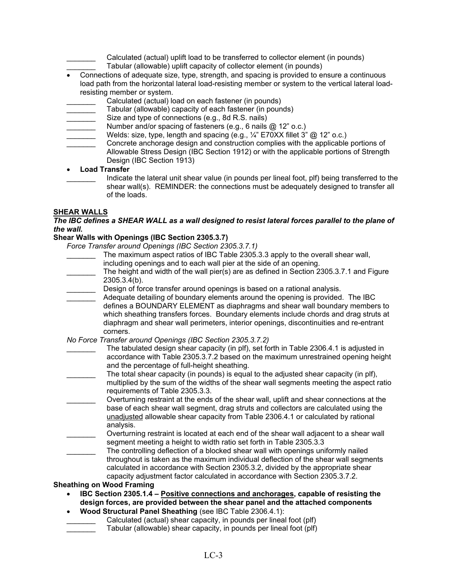- Calculated (actual) uplift load to be transferred to collector element (in pounds)
	- Tabular (allowable) uplift capacity of collector element (in pounds)
- Connections of adequate size, type, strength, and spacing is provided to ensure a continuous load path from the horizontal lateral load-resisting member or system to the vertical lateral loadresisting member or system.
- Calculated (actual) load on each fastener (in pounds)
- Tabular (allowable) capacity of each fastener (in pounds)
- Size and type of connections (e.g., 8d R.S. nails)
- Number and/or spacing of fasteners (e.g., 6 nails @ 12" o.c.)
- Welds: size, type, length and spacing (e.g.,  $\frac{1}{4}$ " E70XX fillet 3" @ 12" o.c.)
- Concrete anchorage design and construction complies with the applicable portions of Allowable Stress Design (IBC Section 1912) or with the applicable portions of Strength Design (IBC Section 1913)

• **Load Transfer**

Indicate the lateral unit shear value (in pounds per lineal foot, plf) being transferred to the shear wall(s). REMINDER: the connections must be adequately designed to transfer all of the loads.

#### **SHEAR WALLS**

#### *The IBC defines a SHEAR WALL as a wall designed to resist lateral forces parallel to the plane of the wall.*

#### **Shear Walls with Openings (IBC Section 2305.3.7)**

*Force Transfer around Openings (IBC Section 2305.3.7.1)*

- The maximum aspect ratios of IBC Table 2305.3.3 apply to the overall shear wall,
	- including openings and to each wall pier at the side of an opening.
- The height and width of the wall pier(s) are as defined in Section 2305.3.7.1 and Figure 2305.3.4(b).
- Design of force transfer around openings is based on a rational analysis.
- Adequate detailing of boundary elements around the opening is provided. The IBC defines a BOUNDARY ELEMENT as diaphragms and shear wall boundary members to which sheathing transfers forces. Boundary elements include chords and drag struts at diaphragm and shear wall perimeters, interior openings, discontinuities and re-entrant corners.
- *No Force Transfer around Openings (IBC Section 2305.3.7.2)*
- The tabulated design shear capacity (in plf), set forth in Table 2306.4.1 is adjusted in accordance with Table 2305.3.7.2 based on the maximum unrestrained opening height and the percentage of full-height sheathing.
- The total shear capacity (in pounds) is equal to the adjusted shear capacity (in plf), multiplied by the sum of the widths of the shear wall segments meeting the aspect ratio requirements of Table 2305.3.3.
- \_\_\_\_\_\_\_ Overturning restraint at the ends of the shear wall, uplift and shear connections at the base of each shear wall segment, drag struts and collectors are calculated using the unadjusted allowable shear capacity from Table 2306.4.1 or calculated by rational analysis.
- Overturning restraint is located at each end of the shear wall adjacent to a shear wall segment meeting a height to width ratio set forth in Table 2305.3.3
- The controlling deflection of a blocked shear wall with openings uniformly nailed throughout is taken as the maximum individual deflection of the shear wall segments calculated in accordance with Section 2305.3.2, divided by the appropriate shear capacity adjustment factor calculated in accordance with Section 2305.3.7.2.

#### **Sheathing on Wood Framing**

- **IBC Section 2305.1.4 Positive connections and anchorages, capable of resisting the design forces, are provided between the shear panel and the attached components**
- **Wood Structural Panel Sheathing** (see IBC Table 2306.4.1):
- Calculated (actual) shear capacity, in pounds per lineal foot (plf)
	- Tabular (allowable) shear capacity, in pounds per lineal foot (plf)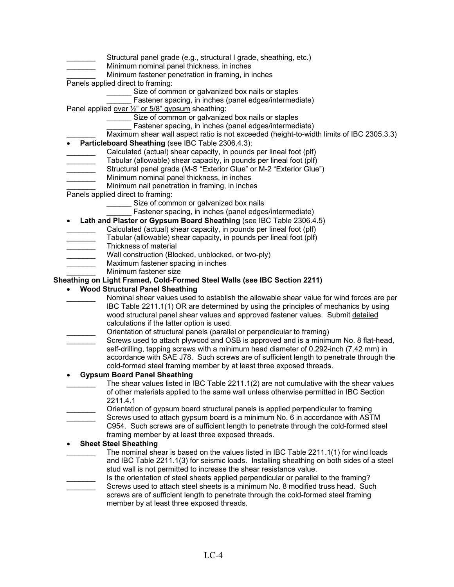- Structural panel grade (e.g., structural I grade, sheathing, etc.)
- Minimum nominal panel thickness, in inches
- Minimum fastener penetration in framing, in inches
- Panels applied direct to framing:
	- Size of common or galvanized box nails or staples
	- Fastener spacing, in inches (panel edges/intermediate)

Panel applied over <sup>1/2"</sup> or 5/8" gypsum sheathing:

- \_\_\_\_\_\_ Size of common or galvanized box nails or staples
	- Fastener spacing, in inches (panel edges/intermediate)
- Maximum shear wall aspect ratio is not exceeded (height-to-width limits of IBC 2305.3.3)
- **Particleboard Sheathing** (see IBC Table 2306.4.3):
- Calculated (actual) shear capacity, in pounds per lineal foot (plf)
- Tabular (allowable) shear capacity, in pounds per lineal foot (plf)
- Structural panel grade (M-S "Exterior Glue" or M-2 "Exterior Glue")
- Minimum nominal panel thickness, in inches
- Minimum nail penetration in framing, in inches
- Panels applied direct to framing:
	- Size of common or galvanized box nails
	- Fastener spacing, in inches (panel edges/intermediate)
- **Lath and Plaster or Gypsum Board Sheathing** (see IBC Table 2306.4.5)
	- Calculated (actual) shear capacity, in pounds per lineal foot (plf)
- Tabular (allowable) shear capacity, in pounds per lineal foot (plf)
- \_\_\_\_\_\_\_ Thickness of material
- Wall construction (Blocked, unblocked, or two-ply)
- Maximum fastener spacing in inches
- \_\_\_\_\_\_\_ Minimum fastener size
- **Sheathing on Light Framed, Cold-Formed Steel Walls (see IBC Section 2211)**
	- **Wood Structural Panel Sheathing**
		- Nominal shear values used to establish the allowable shear value for wind forces are per IBC Table 2211.1(1) OR are determined by using the principles of mechanics by using wood structural panel shear values and approved fastener values. Submit detailed calculations if the latter option is used.
		- Orientation of structural panels (parallel or perpendicular to framing)
		- Screws used to attach plywood and OSB is approved and is a minimum No. 8 flat-head, self-drilling, tapping screws with a minimum head diameter of 0.292-inch (7.42 mm) in accordance with SAE J78. Such screws are of sufficient length to penetrate through the cold-formed steel framing member by at least three exposed threads.

#### • **Gypsum Board Panel Sheathing**

- The shear values listed in IBC Table 2211.1(2) are not cumulative with the shear values of other materials applied to the same wall unless otherwise permitted in IBC Section 2211.4.1
- \_\_\_\_\_\_\_ Orientation of gypsum board structural panels is applied perpendicular to framing
- Screws used to attach gypsum board is a minimum No. 6 in accordance with ASTM C954. Such screws are of sufficient length to penetrate through the cold-formed steel framing member by at least three exposed threads.

#### • **Sheet Steel Sheathing**

- The nominal shear is based on the values listed in IBC Table 2211.1(1) for wind loads and IBC Table 2211.1(3) for seismic loads. Installing sheathing on both sides of a steel stud wall is not permitted to increase the shear resistance value.
- Is the orientation of steel sheets applied perpendicular or parallel to the framing? Screws used to attach steel sheets is a minimum No. 8 modified truss head. Such screws are of sufficient length to penetrate through the cold-formed steel framing member by at least three exposed threads.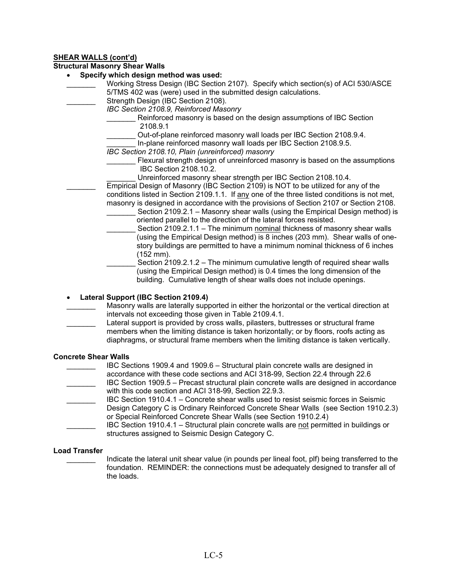#### **SHEAR WALLS (cont'd)**

#### **Structural Masonry Shear Walls**

- **Specify which design method was used:**
	- Working Stress Design (IBC Section 2107). Specify which section(s) of ACI 530/ASCE 5/TMS 402 was (were) used in the submitted design calculations.
- Strength Design (IBC Section 2108).
	- *IBC Section 2108.9, Reinforced Masonry*
		- Reinforced masonry is based on the design assumptions of IBC Section 2108.9.1
		- Out-of-plane reinforced masonry wall loads per IBC Section 2108.9.4.
		- In-plane reinforced masonry wall loads per IBC Section 2108.9.5.
		- *IBC Section 2108.10, Plain (unreinforced) masonry*
			- Flexural strength design of unreinforced masonry is based on the assumptions IBC Section 2108.10.2.
				- Unreinforced masonry shear strength per IBC Section 2108.10.4.
		- Empirical Design of Masonry (IBC Section 2109) is NOT to be utilized for any of the conditions listed in Section 2109.1.1. If any one of the three listed conditions is not met, masonry is designed in accordance with the provisions of Section 2107 or Section 2108.
			- Section 2109.2.1 Masonry shear walls (using the Empirical Design method) is oriented parallel to the direction of the lateral forces resisted.
			- Section 2109.2.1.1 The minimum nominal thickness of masonry shear walls (using the Empirical Design method) is 8 inches (203 mm). Shear walls of onestory buildings are permitted to have a minimum nominal thickness of 6 inches (152 mm).
				- Section 2109.2.1.2 The minimum cumulative length of required shear walls (using the Empirical Design method) is 0.4 times the long dimension of the building. Cumulative length of shear walls does not include openings.

• **Lateral Support (IBC Section 2109.4)**

- Masonry walls are laterally supported in either the horizontal or the vertical direction at intervals not exceeding those given in Table 2109.4.1.
- Lateral support is provided by cross walls, pilasters, buttresses or structural frame members when the limiting distance is taken horizontally; or by floors, roofs acting as diaphragms, or structural frame members when the limiting distance is taken vertically.

#### **Concrete Shear Walls**

- IBC Sections 1909.4 and 1909.6 Structural plain concrete walls are designed in accordance with these code sections and ACI 318-99, Section 22.4 through 22.6 IBC Section 1909.5 – Precast structural plain concrete walls are designed in accordance
- with this code section and ACI 318-99, Section 22.9.3.
- IBC Section 1910.4.1 Concrete shear walls used to resist seismic forces in Seismic Design Category C is Ordinary Reinforced Concrete Shear Walls (see Section 1910.2.3) or Special Reinforced Concrete Shear Walls (see Section 1910.2.4)
	- \_\_\_\_\_\_\_ IBC Section 1910.4.1 Structural plain concrete walls are not permitted in buildings or structures assigned to Seismic Design Category C.

#### **Load Transfer**

Indicate the lateral unit shear value (in pounds per lineal foot, plf) being transferred to the foundation. REMINDER: the connections must be adequately designed to transfer all of the loads.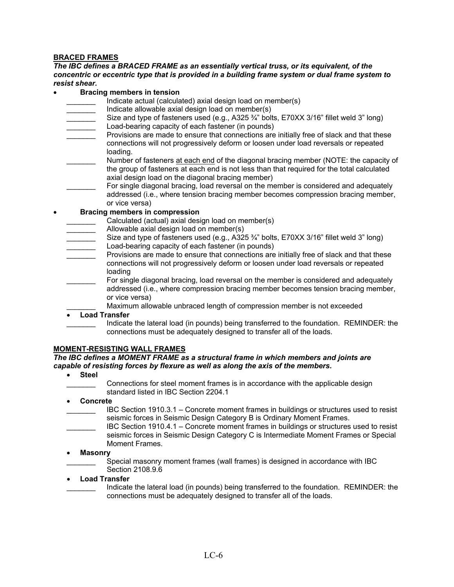#### **BRACED FRAMES**

*The IBC defines a BRACED FRAME as an essentially vertical truss, or its equivalent, of the concentric or eccentric type that is provided in a building frame system or dual frame system to resist shear.*

#### • **Bracing members in tension**

- Indicate actual (calculated) axial design load on member(s)
- Indicate allowable axial design load on member(s)
- Size and type of fasteners used (e.g., A325 3/4" bolts, E70XX 3/16" fillet weld 3" long) Load-bearing capacity of each fastener (in pounds)
- Provisions are made to ensure that connections are initially free of slack and that these connections will not progressively deform or loosen under load reversals or repeated loading.
- Number of fasteners at each end of the diagonal bracing member (NOTE: the capacity of the group of fasteners at each end is not less than that required for the total calculated axial design load on the diagonal bracing member)
- For single diagonal bracing, load reversal on the member is considered and adequately addressed (i.e., where tension bracing member becomes compression bracing member, or vice versa)

#### • **Bracing members in compression**

- Calculated (actual) axial design load on member(s)
- Allowable axial design load on member(s)
- Size and type of fasteners used (e.g., A325 3/4" bolts, E70XX 3/16" fillet weld 3" long)
- Load-bearing capacity of each fastener (in pounds)
- Provisions are made to ensure that connections are initially free of slack and that these connections will not progressively deform or loosen under load reversals or repeated loading
- For single diagonal bracing, load reversal on the member is considered and adequately addressed (i.e., where compression bracing member becomes tension bracing member, or vice versa)
	- Maximum allowable unbraced length of compression member is not exceeded

#### • **Load Transfer**

Indicate the lateral load (in pounds) being transferred to the foundation. REMINDER: the connections must be adequately designed to transfer all of the loads.

#### **MOMENT-RESISTING WALL FRAMES**

#### *The IBC defines a MOMENT FRAME as a structural frame in which members and joints are capable of resisting forces by flexure as well as along the axis of the members.*

- **Steel**
	- \_\_\_\_\_\_\_ Connections for steel moment frames is in accordance with the applicable design standard listed in IBC Section 2204.1
- **Concrete**
- \_\_\_\_\_\_\_ IBC Section 1910.3.1 Concrete moment frames in buildings or structures used to resist seismic forces in Seismic Design Category B is Ordinary Moment Frames.
- \_\_\_\_\_\_\_ IBC Section 1910.4.1 Concrete moment frames in buildings or structures used to resist seismic forces in Seismic Design Category C is Intermediate Moment Frames or Special Moment Frames.
- **Masonry**
	- Special masonry moment frames (wall frames) is designed in accordance with IBC Section 2108.9.6
- **Load Transfer**
	- Indicate the lateral load (in pounds) being transferred to the foundation. REMINDER: the connections must be adequately designed to transfer all of the loads.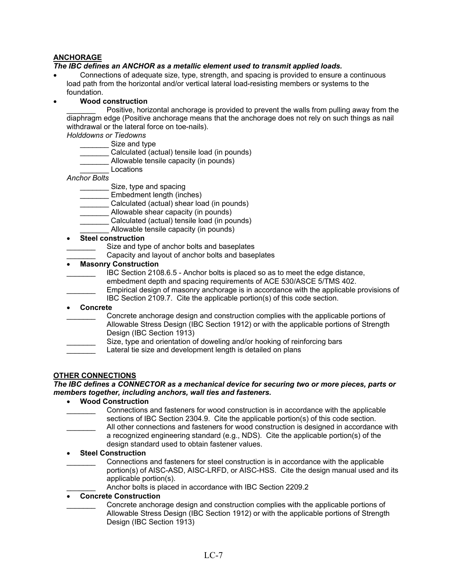### **ANCHORAGE**

#### *The IBC defines an ANCHOR as a metallic element used to transmit applied loads.*

• Connections of adequate size, type, strength, and spacing is provided to ensure a continuous load path from the horizontal and/or vertical lateral load-resisting members or systems to the foundation.

#### • **Wood construction**

Positive, horizontal anchorage is provided to prevent the walls from pulling away from the diaphragm edge (Positive anchorage means that the anchorage does not rely on such things as nail withdrawal or the lateral force on toe-nails).

- *Holddowns or Tiedowns*
	- Size and type
	- Calculated (actual) tensile load (in pounds)
	- Allowable tensile capacity (in pounds)
	- \_\_\_\_\_\_\_ Locations
- *Anchor Bolts*
	- \_\_\_\_\_\_\_ Size, type and spacing
	- Embedment length (inches)
	- \_\_\_\_\_\_\_ Calculated (actual) shear load (in pounds)
	- \_\_\_\_\_\_\_ Allowable shear capacity (in pounds)
		- Calculated (actual) tensile load (in pounds)
		- Allowable tensile capacity (in pounds)

#### • **Steel construction**

- Size and type of anchor bolts and baseplates
- Capacity and layout of anchor bolts and baseplates

#### • **Masonry Construction**

- IBC Section 2108.6.5 Anchor bolts is placed so as to meet the edge distance,
	- embedment depth and spacing requirements of ACE 530/ASCE 5/TMS 402.
- Empirical design of masonry anchorage is in accordance with the applicable provisions of
	- IBC Section 2109.7. Cite the applicable portion(s) of this code section.
- **Concrete**
- \_\_\_\_\_\_\_ Concrete anchorage design and construction complies with the applicable portions of Allowable Stress Design (IBC Section 1912) or with the applicable portions of Strength Design (IBC Section 1913)
- Size, type and orientation of doweling and/or hooking of reinforcing bars
- Lateral tie size and development length is detailed on plans

#### **OTHER CONNECTIONS**

#### *The IBC defines a CONNECTOR as a mechanical device for securing two or more pieces, parts or members together, including anchors, wall ties and fasteners.*

- **Wood Construction**
- \_\_\_\_\_\_\_ Connections and fasteners for wood construction is in accordance with the applicable sections of IBC Section 2304.9. Cite the applicable portion(s) of this code section.
- All other connections and fasteners for wood construction is designed in accordance with a recognized engineering standard (e.g., NDS). Cite the applicable portion(s) of the design standard used to obtain fastener values.
- **Steel Construction**
- \_\_\_\_\_\_\_ Connections and fasteners for steel construction is in accordance with the applicable portion(s) of AISC-ASD, AISC-LRFD, or AISC-HSS. Cite the design manual used and its applicable portion(s).
	- Anchor bolts is placed in accordance with IBC Section 2209.2

#### • **Concrete Construction**

\_\_\_\_\_\_\_ Concrete anchorage design and construction complies with the applicable portions of Allowable Stress Design (IBC Section 1912) or with the applicable portions of Strength Design (IBC Section 1913)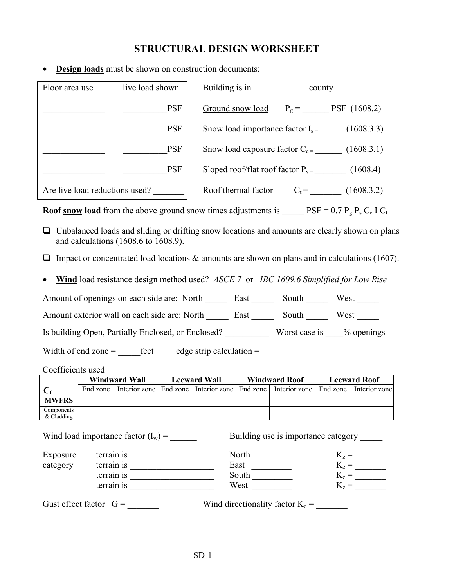## **STRUCTURAL DESIGN WORKSHEET**

**<u>Design loads</u>** must be shown on construction documents:

| Floor area use                 | live load shown | Building is in<br>county                         |
|--------------------------------|-----------------|--------------------------------------------------|
|                                | <b>PSF</b>      | $P_g =$ PSF (1608.2)<br>Ground snow load         |
|                                | <b>PSF</b>      | Snow load importance factor $I_{s} = (1608.3.3)$ |
|                                | <b>PSF</b>      | Snow load exposure factor $C_{e}$ = (1608.3.1)   |
|                                | <b>PSF</b>      | Sloped roof/flat roof factor $P_{s} = (1608.4)$  |
| Are live load reductions used? |                 | Roof thermal factor<br>(1608.3.2)<br>$C_t =$     |

**Roof snow load** from the above ground snow times adjustments is  $PSF = 0.7 P_g P_s C_e I C_t$ 

- $\Box$  Unbalanced loads and sliding or drifting snow locations and amounts are clearly shown on plans and calculations (1608.6 to 1608.9).
- Impact or concentrated load locations  $\&$  amounts are shown on plans and in calculations (1607).
- **Wind** load resistance design method used? *ASCE 7* or *IBC 1609.6 Simplified for Low Rise*

Amount of openings on each side are: North \_\_\_\_\_\_ East \_\_\_\_\_\_ South \_\_\_\_\_\_ West \_\_\_\_\_

Amount exterior wall on each side are: North East South West

Is building Open, Partially Enclosed, or Enclosed? \_\_\_\_\_\_\_\_\_\_ Worst case is \_\_\_\_% openings

Width of end zone  $=$  \_\_\_\_\_\_feet edge strip calculation  $=$ 

|                            | Windward Wall |  | <b>Leeward Wall</b> |  | <b>Windward Roof</b>                                                                                      | <b>Leeward Roof</b> |  |
|----------------------------|---------------|--|---------------------|--|-----------------------------------------------------------------------------------------------------------|---------------------|--|
|                            |               |  |                     |  | End zone   Interior zone   End zone   Interior zone   End zone   Interior zone   End zone   Interior zone |                     |  |
| <b>MWFRS</b>               |               |  |                     |  |                                                                                                           |                     |  |
| Components<br>$&$ Cladding |               |  |                     |  |                                                                                                           |                     |  |

Wind load importance factor  $(I_w)$  =  $\qquad \qquad$  Building use is importance category Exposure terrain is terrain is North  $K_z =$ <br>  $\frac{\text{category}}{\text{terrain is}}$  terrain is  $K_z =$   $\frac{K_z}{K_z} =$   $\frac{K_z}{K_z} =$   $\frac{K_z}{K_z} =$   $\frac{K_z}{K_z} =$   $\frac{K_z}{K_z} =$   $\frac{K_z}{K_z} =$   $\frac{K_z}{K_z} =$   $\frac{K_z}{K_z} =$   $\frac{K_z}{K_z} =$   $\frac{K_z}{K_z} =$   $\frac{K_z}{K_z} =$   $\frac{\text{category}}{\text{terrain is}}$  terrain is East East  $K_z =$   $K_z =$   $K_z =$   $K_z =$   $K_z =$   $K_z =$   $K_z =$   $K_z =$   $K_z =$   $K_z =$   $K_z =$   $K_z =$   $K_z =$   $K_z =$   $K_z =$   $K_z =$   $K_z =$   $K_z =$   $K_z =$   $K_z =$   $K_z =$   $K_z =$   $K_z =$   $K_z =$   $K_z =$   $K_z =$   $K_z =$   $K_z =$   $K_z =$   $K_z =$   $K_z$ terrain is \_\_\_\_\_\_\_\_\_\_\_\_\_\_\_\_\_\_\_ South \_\_\_\_\_\_\_\_\_ Kz = \_\_\_\_\_\_\_ terrain is  $\frac{1}{\sqrt{1-\frac{1}{2}}\left\lceil \frac{1}{2}\right\rceil}$ Gust effect factor  $G =$  Wind directionality factor  $K_d =$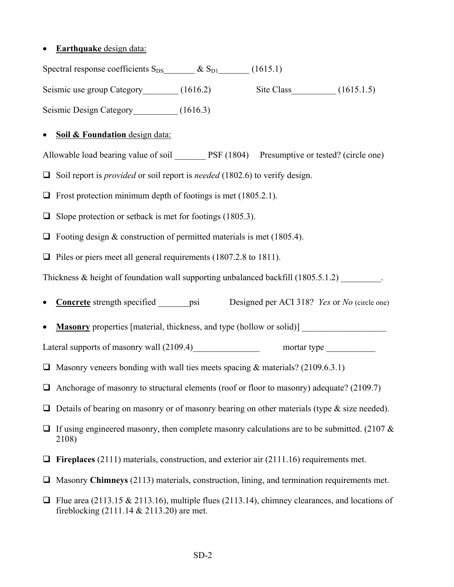## • **Earthquake** design data:

Spectral response coefficients  $S_{DS}$   $\& S_{D1}$  (1615.1) Seismic use group Category (1616.2) Site Class (1615.1.5)

Seismic Design Category (1616.3)

## • **Soil & Foundation** design data:

Allowable load bearing value of soil PSF (1804) Presumptive or tested? (circle one)

- □ Soil report is *provided* or soil report is *needed* (1802.6) to verify design.
- $\Box$  Frost protection minimum depth of footings is met (1805.2.1).
- $\Box$  Slope protection or setback is met for footings (1805.3).
- $\Box$  Footing design & construction of permitted materials is met (1805.4).
- $\Box$  Piles or piers meet all general requirements (1807.2.8 to 1811).

Thickness  $\&$  height of foundation wall supporting unbalanced backfill (1805.5.1.2)

• **Concrete** strength specified psi Designed per ACI 318? *Yes* or *No* (circle one)

**Masonry** properties [material, thickness, and type (hollow or solid)]

Lateral supports of masonry wall  $(2109.4)$  mortar type \_\_\_\_\_\_\_\_\_\_

- $\Box$  Masonry veneers bonding with wall ties meets spacing & materials? (2109.6.3.1)
- $\Box$  Anchorage of masonry to structural elements (roof or floor to masonry) adequate? (2109.7)
- $\Box$  Details of bearing on masonry or of masonry bearing on other materials (type & size needed).
- If using engineered masonry, then complete masonry calculations are to be submitted. (2107  $\&$ 2108)
- **Fireplaces** (2111) materials, construction, and exterior air (2111.16) requirements met.
- □ Masonry **Chimneys** (2113) materials, construction, lining, and termination requirements met.
- $\Box$  Flue area (2113.15 & 2113.16), multiple flues (2113.14), chimney clearances, and locations of fireblocking (2111.14 & 2113.20) are met.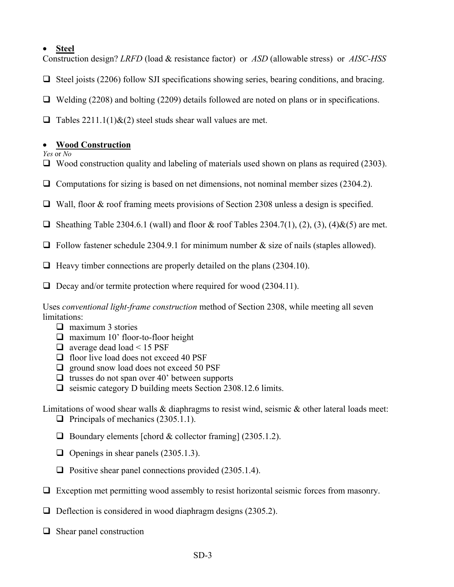## • **Steel**

Construction design? *LRFD* (load & resistance factor) or *ASD* (allowable stress) or *AISC-HSS*

- $\Box$  Steel joists (2206) follow SJI specifications showing series, bearing conditions, and bracing.
- $\Box$  Welding (2208) and bolting (2209) details followed are noted on plans or in specifications.
- $\Box$  Tables 2211.1(1)&(2) steel studs shear wall values are met.

## • **Wood Construction**

*Yes* or *No*

- $\Box$  Wood construction quality and labeling of materials used shown on plans as required (2303).
- $\Box$  Computations for sizing is based on net dimensions, not nominal member sizes (2304.2).
- Wall, floor & roof framing meets provisions of Section 2308 unless a design is specified.
- $\Box$  Sheathing Table 2304.6.1 (wall) and floor & roof Tables 2304.7(1), (2), (3), (4)&(5) are met.
- $\Box$  Follow fastener schedule 2304.9.1 for minimum number & size of nails (staples allowed).
- $\Box$  Heavy timber connections are properly detailed on the plans (2304.10).
- $\Box$  Decay and/or termite protection where required for wood (2304.11).

Uses *conventional light-frame construction* method of Section 2308, while meeting all seven limitations:

- $\Box$  maximum 3 stories
- $\Box$  maximum 10' floor-to-floor height
- $\Box$  average dead load < 15 PSF
- $\Box$  floor live load does not exceed 40 PSF
- $\Box$  ground snow load does not exceed 50 PSF
- $\Box$  trusses do not span over 40' between supports
- $\Box$  seismic category D building meets Section 2308.12.6 limits.

Limitations of wood shear walls  $\&$  diaphragms to resist wind, seismic  $\&$  other lateral loads meet:  $\Box$  Principals of mechanics (2305.1.1).

- $\Box$  Boundary elements [chord & collector framing] (2305.1.2).
- $\Box$  Openings in shear panels (2305.1.3).
- $\Box$  Positive shear panel connections provided (2305.1.4).
- $\Box$  Exception met permitting wood assembly to resist horizontal seismic forces from masonry.
- $\Box$  Deflection is considered in wood diaphragm designs (2305.2).
- $\Box$  Shear panel construction